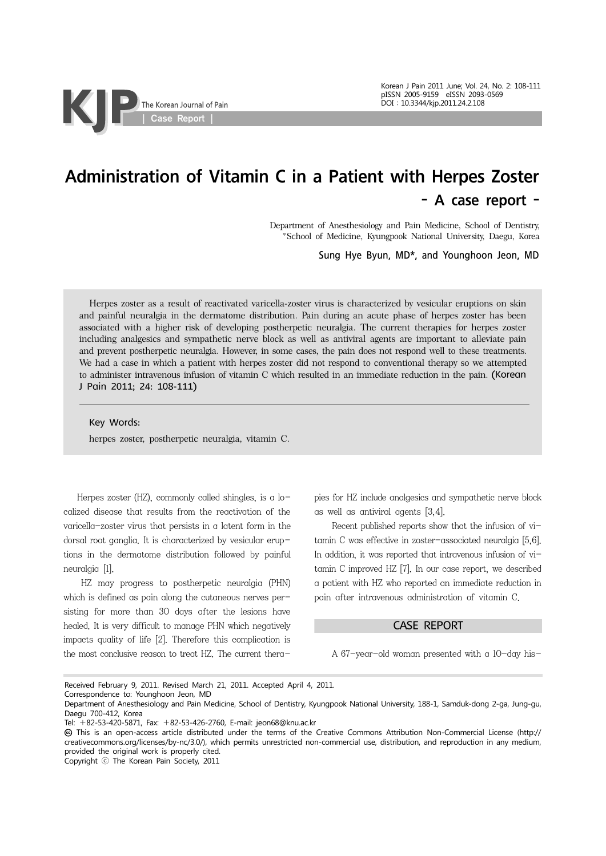Korean J Pain 2011 June; Vol. 24, No. 2: 108-111 pISSN 2005-9159 eISSN 2093-0569 DOI:10.3344/kjp.2011.24.2.108

## Administration of Vitamin C in a Patient with Herpes Zoster - A case report -

Department of Anesthesiology and Pain Medicine, School of Dentistry, \*School of Medicine, Kyungpook National University, Daegu, Korea

Sung Hye Byun, MD\*, and Younghoon Jeon, MD

Herpes zoster as a result of reactivated varicella-zoster virus is characterized by vesicular eruptions on skin and painful neuralgia in the dermatome distribution. Pain during an acute phase of herpes zoster has been associated with a higher risk of developing postherpetic neuralgia. The current therapies for herpes zoster including analgesics and sympathetic nerve block as well as antiviral agents are important to alleviate pain and prevent postherpetic neuralgia. However, in some cases, the pain does not respond well to these treatments. We had a case in which a patient with herpes zoster did not respond to conventional therapy so we attempted to administer intravenous infusion of vitamin C which resulted in an immediate reduction in the pain. (Korean J Pain 2011; 24: 108-111)

Key Words:

herpes zoster, postherpetic neuralgia, vitamin C.

Herpes zoster (HZ), commonly called shingles, is a localized disease that results from the reactivation of the varicella-zoster virus that persists in a latent form in the dorsal root ganglia. It is characterized by vesicular eruptions in the dermatome distribution followed by painful neuralgia [1].

 HZ may progress to postherpetic neuralgia (PHN) which is defined as pain along the cutaneous nerves persisting for more than 30 days after the lesions have healed. It is very difficult to manage PHN which negatively impacts quality of life [2]. Therefore this complication is the most conclusive reason to treat HZ. The current therapies for HZ include analgesics and sympathetic nerve block as well as antiviral agents [3,4].

 Recent published reports show that the infusion of vitamin C was effective in zoster-associated neuralgia [5,6]. In addition, it was reported that intravenous infusion of vitamin C improved HZ [7]. In our case report, we described a patient with HZ who reported an immediate reduction in pain after intravenous administration of vitamin C.

## CASE REPORT

A 67-year-old woman presented with a 10-day his-

Received February 9, 2011. Revised March 21, 2011. Accepted April 4, 2011.

Copyright ⓒ The Korean Pain Society, 2011

Correspondence to: Younghoon Jeon, MD

Department of Anesthesiology and Pain Medicine, School of Dentistry, Kyungpook National University, 188-1, Samduk-dong 2-ga, Jung-gu, Daegu 700-412, Korea

Tel: +82-53-420-5871, Fax: +82-53-426-2760, E-mail: jeon68@knu.ac.kr

This is an open-access article distributed under the terms of the Creative Commons Attribution Non-Commercial License (http:// creativecommons.org/licenses/by-nc/3.0/), which permits unrestricted non-commercial use, distribution, and reproduction in any medium, provided the original work is properly cited.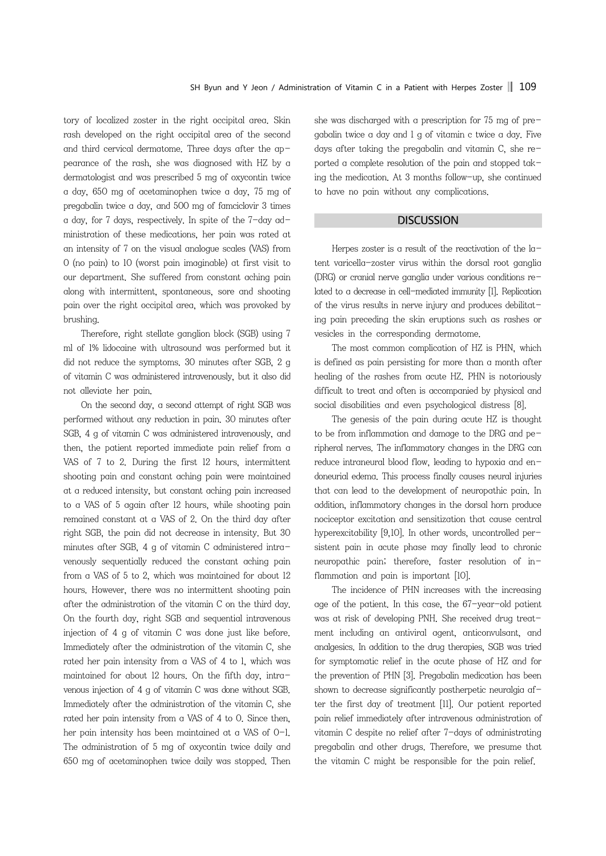tory of localized zoster in the right occipital area. Skin rash developed on the right occipital area of the second and third cervical dermatome. Three days after the appearance of the rash, she was diagnosed with HZ by a dermatologist and was prescribed 5 mg of oxycontin twice a day, 650 mg of acetaminophen twice a day, 75 mg of pregabalin twice a day, and 500 mg of famciclovir 3 times a day, for 7 days, respectively. In spite of the 7-day administration of these medications, her pain was rated at an intensity of 7 on the visual analogue scales (VAS) from 0 (no pain) to 10 (worst pain imaginable) at first visit to our department. She suffered from constant aching pain along with intermittent, spontaneous, sore and shooting pain over the right occipital area, which was provoked by brushing.

Therefore, right stellate ganglion block (SGB) using 7 ml of 1% lidocaine with ultrasound was performed but it did not reduce the symptoms. 30 minutes after SGB, 2 g of vitamin C was administered intravenously, but it also did not alleviate her pain.

 On the second day, a second attempt of right SGB was performed without any reduction in pain. 30 minutes after SGB, 4 g of vitamin C was administered intravenously, and then, the patient reported immediate pain relief from a VAS of 7 to 2. During the first 12 hours, intermittent shooting pain and constant aching pain were maintained at a reduced intensity, but constant aching pain increased to a VAS of 5 again after 12 hours, while shooting pain remained constant at a VAS of 2. On the third day after right SGB, the pain did not decrease in intensity. But 30 minutes after SGB, 4 g of vitamin C administered intravenously sequentially reduced the constant aching pain from a VAS of 5 to 2, which was maintained for about 12 hours. However, there was no intermittent shooting pain after the administration of the vitamin C on the third day. On the fourth day, right SGB and sequential intravenous injection of 4 g of vitamin C was done just like before. Immediately after the administration of the vitamin C, she rated her pain intensity from a VAS of 4 to 1, which was maintained for about 12 hours. On the fifth day, intravenous injection of 4 g of vitamin C was done without SGB. Immediately after the administration of the vitamin C, she rated her pain intensity from a VAS of 4 to 0. Since then, her pain intensity has been maintained at a VAS of O-1. The administration of 5 mg of oxycontin twice daily and 650 mg of acetaminophen twice daily was stopped. Then

she was discharged with a prescription for 75 mg of pregabalin twice a day and 1 g of vitamin c twice a day. Five days after taking the pregabalin and vitamin C, she reported a complete resolution of the pain and stopped taking the medication. At 3 months follow-up, she continued to have no pain without any complications.

## **DISCUSSION**

Herpes zoster is a result of the reactivation of the latent varicella-zoster virus within the dorsal root ganglia (DRG) or cranial nerve ganglia under various conditions related to a decrease in cell-mediated immunity [1]. Replication of the virus results in nerve injury and produces debilitating pain preceding the skin eruptions such as rashes or vesicles in the corresponding dermatome.

 The most common complication of HZ is PHN, which is defined as pain persisting for more than a month after healing of the rashes from acute HZ. PHN is notoriously difficult to treat and often is accompanied by physical and social disabilities and even psychological distress [8].

 The genesis of the pain during acute HZ is thought to be from inflammation and damage to the DRG and peripheral nerves. The inflammatory changes in the DRG can reduce intraneural blood flow, leading to hypoxia and endoneurial edema. This process finally causes neural injuries that can lead to the development of neuropathic pain. In addition, inflammatory changes in the dorsal horn produce nociceptor excitation and sensitization that cause central hyperexcitability [9,10]. In other words, uncontrolled persistent pain in acute phase may finally lead to chronic neuropathic pain; therefore, faster resolution of inflammation and pain is important [10].

 The incidence of PHN increases with the increasing age of the patient. In this case, the 67-year-old patient was at risk of developing PNH. She received drug treatment including an antiviral agent, anticonvulsant, and analgesics. In addition to the drug therapies, SGB was tried for symptomatic relief in the acute phase of HZ and for the prevention of PHN [3]. Pregabalin medication has been shown to decrease significantly postherpetic neuralgia after the first day of treatment [11]. Our patient reported pain relief immediately after intravenous administration of vitamin C despite no relief after 7-days of administrating pregabalin and other drugs. Therefore, we presume that the vitamin C might be responsible for the pain relief.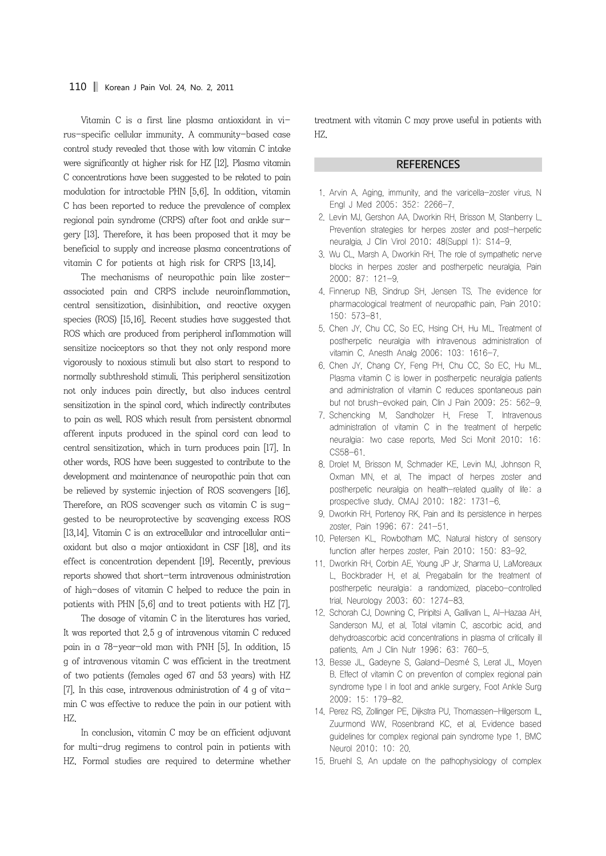Vitamin C is a first line plasma antioxidant in virus-specific cellular immunity. A community-based case control study revealed that those with low vitamin C intake were significantly at higher risk for HZ [12]. Plasma vitamin C concentrations have been suggested to be related to pain modulation for intractable PHN [5,6]. In addition, vitamin C has been reported to reduce the prevalence of complex regional pain syndrome (CRPS) after foot and ankle surgery [13]. Therefore, it has been proposed that it may be beneficial to supply and increase plasma concentrations of vitamin C for patients at high risk for CRPS [13,14].

 The mechanisms of neuropathic pain like zosterassociated pain and CRPS include neuroinflammation, central sensitization, disinhibition, and reactive oxygen species (ROS) [15,16]. Recent studies have suggested that ROS which are produced from peripheral inflammation will sensitize nociceptors so that they not only respond more vigorously to noxious stimuli but also start to respond to normally subthreshold stimuli. This peripheral sensitization not only induces pain directly, but also induces central sensitization in the spinal cord, which indirectly contributes to pain as well. ROS which result from persistent abnormal afferent inputs produced in the spinal cord can lead to central sensitization, which in turn produces pain [17]. In other words, ROS have been suggested to contribute to the development and maintenance of neuropathic pain that can be relieved by systemic injection of ROS scavengers [16]. Therefore, an ROS scavenger such as vitamin C is suggested to be neuroprotective by scavenging excess ROS [13,14]. Vitamin C is an extracellular and intracellular antioxidant but also a major antioxidant in CSF [18], and its effect is concentration dependent [19]. Recently, previous reports showed that short-term intravenous administration of high-doses of vitamin C helped to reduce the pain in patients with PHN [5,6] and to treat patients with HZ [7].

 The dosage of vitamin C in the literatures has varied. It was reported that 2.5 g of intravenous vitamin C reduced pain in a 78-year-old man with PNH [5]. In addition, 15 g of intravenous vitamin C was efficient in the treatment of two patients (females aged 67 and 53 years) with HZ [7]. In this case, intravenous administration of 4 g of vitamin C was effective to reduce the pain in our patient with HZ.

 In conclusion, vitamin C may be an efficient adjuvant for multi-drug regimens to control pain in patients with HZ. Formal studies are required to determine whether

treatment with vitamin C may prove useful in patients with HZ.

## **REFERENCES**

- 1. Arvin A. Aging, immunity, and the varicella-zoster virus. N Engl J Med 2005; 352: 2266-7.
- 2. Levin MJ, Gershon AA, Dworkin RH, Brisson M, Stanberry L. Prevention strategies for herpes zoster and post-herpetic neuralgia. J Clin Virol 2010; 48(Suppl 1): S14-9.
- 3. Wu CL, Marsh A, Dworkin RH. The role of sympathetic nerve blocks in herpes zoster and postherpetic neuralgia. Pain 2000; 87: 121-9.
- 4. Finnerup NB, Sindrup SH, Jensen TS. The evidence for pharmacological treatment of neuropathic pain. Pain 2010; 150: 573-81.
- 5. Chen JY, Chu CC, So EC, Hsing CH, Hu ML. Treatment of postherpetic neuralgia with intravenous administration of vitamin C. Anesth Analg 2006; 103: 1616-7.
- 6. Chen JY, Chang CY, Feng PH, Chu CC, So EC, Hu ML. Plasma vitamin C is lower in postherpetic neuralgia patients and administration of vitamin C reduces spontaneous pain but not brush-evoked pain. Clin J Pain 2009; 25: 562-9.
- 7. Schencking M, Sandholzer H, Frese T. Intravenous administration of vitamin C in the treatment of herpetic neuralgia: two case reports. Med Sci Monit 2010; 16: CS58-61.
- 8. Drolet M, Brisson M, Schmader KE, Levin MJ, Johnson R, Oxman MN, et al. The impact of herpes zoster and postherpetic neuralgia on health-related quality of life: a prospective study. CMAJ 2010; 182: 1731-6.
- 9. Dworkin RH, Portenoy RK. Pain and its persistence in herpes zoster. Pain 1996; 67: 241-51.
- 10. Petersen KL, Rowbotham MC. Natural history of sensory function after herpes zoster. Pain 2010; 150: 83-92.
- 11. Dworkin RH, Corbin AE, Young JP Jr, Sharma U, LaMoreaux L, Bockbrader H, et al. Pregabalin for the treatment of postherpetic neuralgia: a randomized, placebo-controlled trial. Neurology 2003; 60: 1274-83.
- 12. Schorah CJ, Downing C, Piripitsi A, Gallivan L, Al-Hazaa AH, Sanderson MJ, et al. Total vitamin C, ascorbic acid, and dehydroascorbic acid concentrations in plasma of critically ill patients. Am J Clin Nutr 1996; 63: 760-5.
- 13. Besse JL, Gadeyne S, Galand-Desmé S, Lerat JL, Moyen B. Effect of vitamin C on prevention of complex regional pain syndrome type I in foot and ankle surgery. Foot Ankle Surg 2009; 15: 179-82.
- 14. Perez RS, Zollinger PE, Dijkstra PU, Thomassen-Hilgersom IL, Zuurmond WW, Rosenbrand KC, et al. Evidence based guidelines for complex regional pain syndrome type 1. BMC Neurol 2010; 10: 20.
- 15. Bruehl S. An update on the pathophysiology of complex